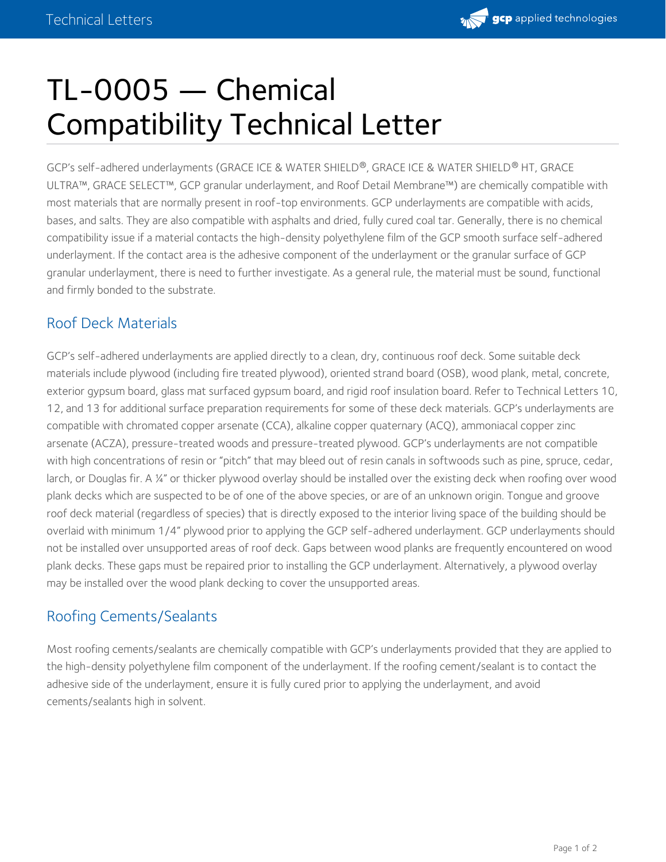## TL-0005 — Chemical Compatibility Technical Letter

GCP's self-adhered underlayments (GRACE ICE & WATER SHIELD®, GRACE ICE & WATER SHIELD® HT, GRACE ULTRA™, GRACE SELECT™, GCP granular underlayment, and Roof Detail Membrane™) are chemically compatible with most materials that are normally present in roof-top environments. GCP underlayments are compatible with acids, bases, and salts. They are also compatible with asphalts and dried, fully cured coal tar. Generally, there is no chemical compatibility issue if a material contacts the high-density polyethylene film of the GCP smooth surface self-adhered underlayment. If the contact area is the adhesive component of the underlayment or the granular surface of GCP granular underlayment, there is need to further investigate. As a general rule, the material must be sound, functional and firmly bonded to the substrate.

## Roof Deck Materials

GCP's self-adhered underlayments are applied directly to a clean, dry, continuous roof deck. Some suitable deck materials include plywood (including fire treated plywood), oriented strand board (OSB), wood plank, metal, concrete, exterior gypsum board, glass mat surfaced gypsum board, and rigid roof insulation board. Refer to Technical Letters 10, 12, and 13 for additional surface preparation requirements for some of these deck materials. GCP's underlayments are compatible with chromated copper arsenate (CCA), alkaline copper quaternary (ACQ), ammoniacal copper zinc arsenate (ACZA), pressure-treated woods and pressure-treated plywood. GCP's underlayments are not compatible with high concentrations of resin or "pitch" that may bleed out of resin canals in softwoods such as pine, spruce, cedar, larch, or Douglas fir. A ¼" or thicker plywood overlay should be installed over the existing deck when roofing over wood plank decks which are suspected to be of one of the above species, or are of an unknown origin. Tongue and groove roof deck material (regardless of species) that is directly exposed to the interior living space of the building should be overlaid with minimum 1/4" plywood prior to applying the GCP self-adhered underlayment. GCP underlayments should not be installed over unsupported areas of roof deck. Gaps between wood planks are frequently encountered on wood plank decks. These gaps must be repaired prior to installing the GCP underlayment. Alternatively, a plywood overlay may be installed over the wood plank decking to cover the unsupported areas.

## Roofing Cements/Sealants

Most roofing cements/sealants are chemically compatible with GCP's underlayments provided that they are applied to the high-density polyethylene film component of the underlayment. If the roofing cement/sealant is to contact the adhesive side of the underlayment, ensure it is fully cured prior to applying the underlayment, and avoid cements/sealants high in solvent.